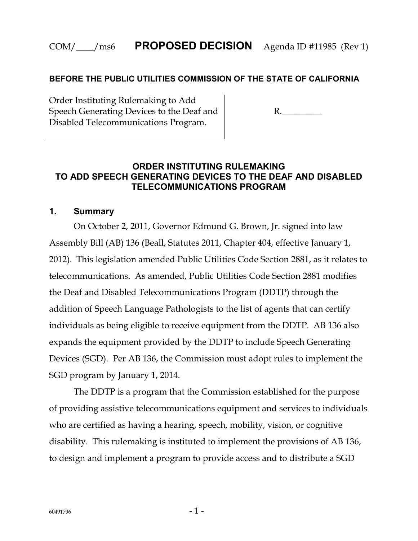#### **BEFORE THE PUBLIC UTILITIES COMMISSION OF THE STATE OF CALIFORNIA**

Order Instituting Rulemaking to Add Speech Generating Devices to the Deaf and Disabled Telecommunications Program.

R.\_\_\_\_\_\_\_\_\_

#### **ORDER INSTITUTING RULEMAKING TO ADD SPEECH GENERATING DEVICES TO THE DEAF AND DISABLED TELECOMMUNICATIONS PROGRAM**

#### **1. Summary**

On October 2, 2011, Governor Edmund G. Brown, Jr. signed into law Assembly Bill (AB) 136 (Beall, Statutes 2011, Chapter 404, effective January 1, 2012). This legislation amended Public Utilities Code Section 2881, as it relates to telecommunications. As amended, Public Utilities Code Section 2881 modifies the Deaf and Disabled Telecommunications Program (DDTP) through the addition of Speech Language Pathologists to the list of agents that can certify individuals as being eligible to receive equipment from the DDTP. AB 136 also expands the equipment provided by the DDTP to include Speech Generating Devices (SGD). Per AB 136, the Commission must adopt rules to implement the SGD program by January 1, 2014.

The DDTP is a program that the Commission established for the purpose of providing assistive telecommunications equipment and services to individuals who are certified as having a hearing, speech, mobility, vision, or cognitive disability. This rulemaking is instituted to implement the provisions of AB 136, to design and implement a program to provide access and to distribute a SGD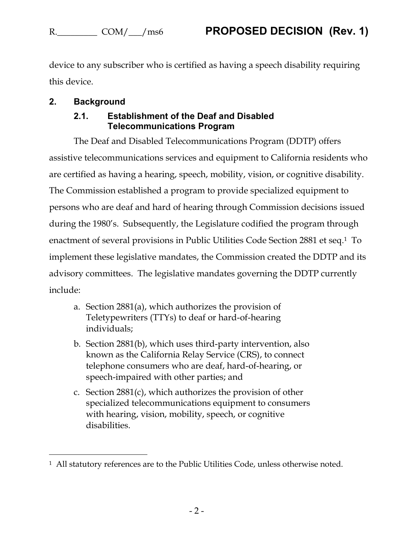$\overline{a}$ 

device to any subscriber who is certified as having a speech disability requiring this device.

### **2. Background**

#### **2.1. Establishment of the Deaf and Disabled Telecommunications Program**

The Deaf and Disabled Telecommunications Program (DDTP) offers assistive telecommunications services and equipment to California residents who are certified as having a hearing, speech, mobility, vision, or cognitive disability. The Commission established a program to provide specialized equipment to persons who are deaf and hard of hearing through Commission decisions issued during the 1980's. Subsequently, the Legislature codified the program through enactment of several provisions in Public Utilities Code Section 2881 et seq. <sup>1</sup> To implement these legislative mandates, the Commission created the DDTP and its advisory committees. The legislative mandates governing the DDTP currently include:

- a. Section 2881(a), which authorizes the provision of Teletypewriters (TTYs) to deaf or hard-of-hearing individuals;
- b. Section 2881(b), which uses third-party intervention, also known as the California Relay Service (CRS), to connect telephone consumers who are deaf, hard-of-hearing, or speech-impaired with other parties; and
- c. Section 2881(c), which authorizes the provision of other specialized telecommunications equipment to consumers with hearing, vision, mobility, speech, or cognitive disabilities.

<sup>&</sup>lt;sup>1</sup> All statutory references are to the Public Utilities Code, unless otherwise noted.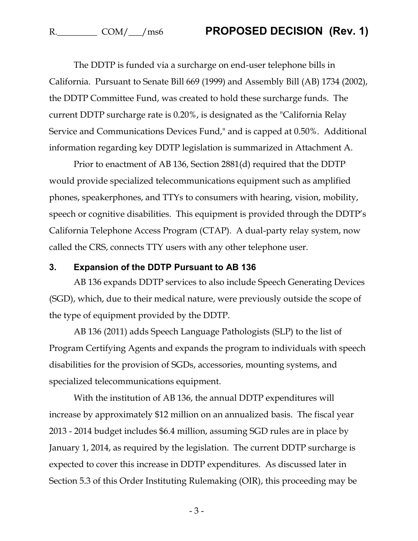The DDTP is funded via a surcharge on end-user telephone bills in California. Pursuant to Senate Bill 669 (1999) and Assembly Bill (AB) 1734 (2002), the DDTP Committee Fund, was created to hold these surcharge funds. The current DDTP surcharge rate is 0.20%, is designated as the "California Relay Service and Communications Devices Fund," and is capped at 0.50%. Additional information regarding key DDTP legislation is summarized in Attachment A.

Prior to enactment of AB 136, Section 2881(d) required that the DDTP would provide specialized telecommunications equipment such as amplified phones, speakerphones, and TTYs to consumers with hearing, vision, mobility, speech or cognitive disabilities. This equipment is provided through the DDTP's California Telephone Access Program (CTAP). A dual-party relay system, now called the CRS, connects TTY users with any other telephone user.

#### **3. Expansion of the DDTP Pursuant to AB 136**

AB 136 expands DDTP services to also include Speech Generating Devices (SGD), which, due to their medical nature, were previously outside the scope of the type of equipment provided by the DDTP.

AB 136 (2011) adds Speech Language Pathologists (SLP) to the list of Program Certifying Agents and expands the program to individuals with speech disabilities for the provision of SGDs, accessories, mounting systems, and specialized telecommunications equipment.

With the institution of AB 136, the annual DDTP expenditures will increase by approximately \$12 million on an annualized basis. The fiscal year 2013 - 2014 budget includes \$6.4 million, assuming SGD rules are in place by January 1, 2014, as required by the legislation. The current DDTP surcharge is expected to cover this increase in DDTP expenditures. As discussed later in Section 5.3 of this Order Instituting Rulemaking (OIR), this proceeding may be

- 3 -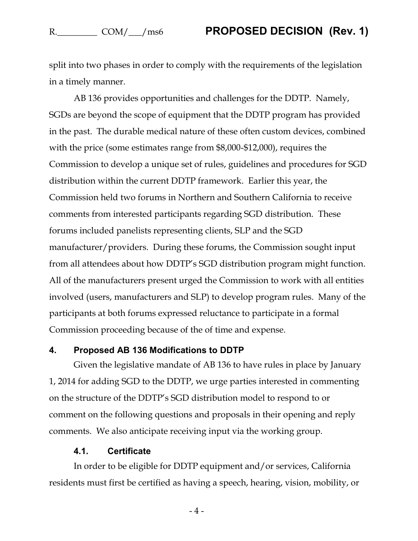split into two phases in order to comply with the requirements of the legislation in a timely manner.

AB 136 provides opportunities and challenges for the DDTP. Namely, SGDs are beyond the scope of equipment that the DDTP program has provided in the past. The durable medical nature of these often custom devices, combined with the price (some estimates range from \$8,000-\$12,000), requires the Commission to develop a unique set of rules, guidelines and procedures for SGD distribution within the current DDTP framework. Earlier this year, the Commission held two forums in Northern and Southern California to receive comments from interested participants regarding SGD distribution. These forums included panelists representing clients, SLP and the SGD manufacturer/providers. During these forums, the Commission sought input from all attendees about how DDTP's SGD distribution program might function. All of the manufacturers present urged the Commission to work with all entities involved (users, manufacturers and SLP) to develop program rules. Many of the participants at both forums expressed reluctance to participate in a formal Commission proceeding because of the of time and expense.

#### **4. Proposed AB 136 Modifications to DDTP**

Given the legislative mandate of AB 136 to have rules in place by January 1, 2014 for adding SGD to the DDTP, we urge parties interested in commenting on the structure of the DDTP's SGD distribution model to respond to or comment on the following questions and proposals in their opening and reply comments. We also anticipate receiving input via the working group.

#### **4.1. Certificate**

In order to be eligible for DDTP equipment and/or services, California residents must first be certified as having a speech, hearing, vision, mobility, or

- 4 -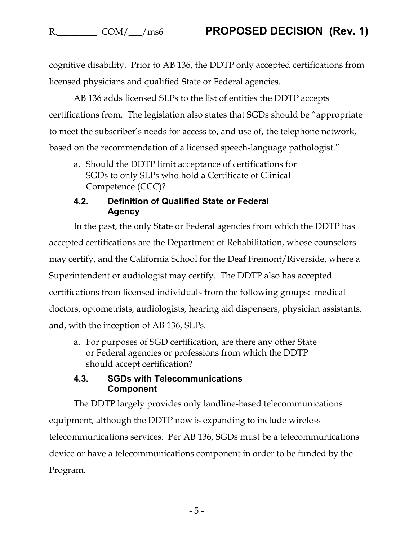cognitive disability. Prior to AB 136, the DDTP only accepted certifications from licensed physicians and qualified State or Federal agencies.

AB 136 adds licensed SLPs to the list of entities the DDTP accepts certifications from. The legislation also states that SGDs should be "appropriate to meet the subscriber's needs for access to, and use of, the telephone network, based on the recommendation of a licensed speech-language pathologist."

a. Should the DDTP limit acceptance of certifications for SGDs to only SLPs who hold a Certificate of Clinical Competence (CCC)?

### **4.2. Definition of Qualified State or Federal Agency**

In the past, the only State or Federal agencies from which the DDTP has accepted certifications are the Department of Rehabilitation, whose counselors may certify, and the California School for the Deaf Fremont/Riverside, where a Superintendent or audiologist may certify. The DDTP also has accepted certifications from licensed individuals from the following groups: medical doctors, optometrists, audiologists, hearing aid dispensers, physician assistants, and, with the inception of AB 136, SLPs.

a. For purposes of SGD certification, are there any other State or Federal agencies or professions from which the DDTP should accept certification?

#### **4.3. SGDs with Telecommunications Component**

The DDTP largely provides only landline-based telecommunications equipment, although the DDTP now is expanding to include wireless telecommunications services. Per AB 136, SGDs must be a telecommunications device or have a telecommunications component in order to be funded by the Program.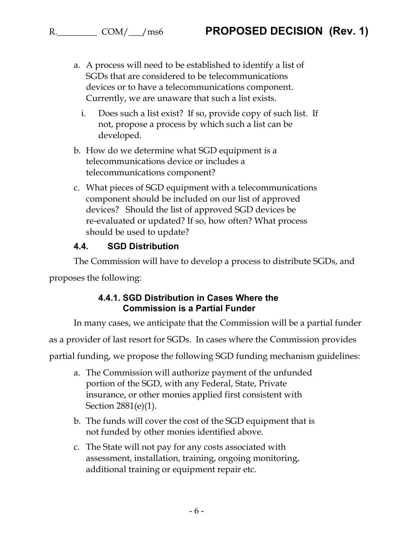- a. A process will need to be established to identify a list of SGDs that are considered to be telecommunications devices or to have a telecommunications component. Currently, we are unaware that such a list exists.
	- i. Does such a list exist? If so, provide copy of such list. If not, propose a process by which such a list can be developed.
- b. How do we determine what SGD equipment is a telecommunications device or includes a telecommunications component?
- c. What pieces of SGD equipment with a telecommunications component should be included on our list of approved devices? Should the list of approved SGD devices be re-evaluated or updated? If so, how often? What process should be used to update?

#### **4.4. SGD Distribution**

The Commission will have to develop a process to distribute SGDs, and

proposes the following:

#### **4.4.1. SGD Distribution in Cases Where the Commission is a Partial Funder**

In many cases, we anticipate that the Commission will be a partial funder

as a provider of last resort for SGDs. In cases where the Commission provides

partial funding, we propose the following SGD funding mechanism guidelines:

- a. The Commission will authorize payment of the unfunded portion of the SGD, with any Federal, State, Private insurance, or other monies applied first consistent with Section 2881(e)(1).
- b. The funds will cover the cost of the SGD equipment that is not funded by other monies identified above.
- c. The State will not pay for any costs associated with assessment, installation, training, ongoing monitoring, additional training or equipment repair etc.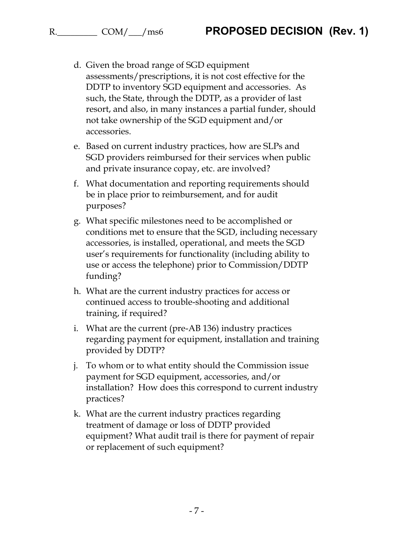- d. Given the broad range of SGD equipment assessments/prescriptions, it is not cost effective for the DDTP to inventory SGD equipment and accessories. As such, the State, through the DDTP, as a provider of last resort, and also, in many instances a partial funder, should not take ownership of the SGD equipment and/or accessories.
- e. Based on current industry practices, how are SLPs and SGD providers reimbursed for their services when public and private insurance copay, etc. are involved?
- f. What documentation and reporting requirements should be in place prior to reimbursement, and for audit purposes?
- g. What specific milestones need to be accomplished or conditions met to ensure that the SGD, including necessary accessories, is installed, operational, and meets the SGD user's requirements for functionality (including ability to use or access the telephone) prior to Commission/DDTP funding?
- h. What are the current industry practices for access or continued access to trouble-shooting and additional training, if required?
- i. What are the current (pre-AB 136) industry practices regarding payment for equipment, installation and training provided by DDTP?
- j. To whom or to what entity should the Commission issue payment for SGD equipment, accessories, and/or installation? How does this correspond to current industry practices?
- k. What are the current industry practices regarding treatment of damage or loss of DDTP provided equipment? What audit trail is there for payment of repair or replacement of such equipment?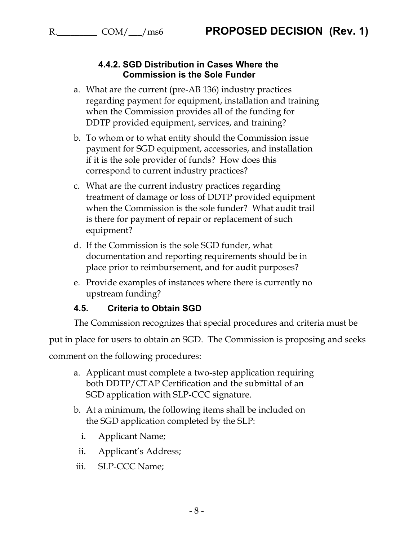#### **4.4.2. SGD Distribution in Cases Where the Commission is the Sole Funder**

- a. What are the current (pre-AB 136) industry practices regarding payment for equipment, installation and training when the Commission provides all of the funding for DDTP provided equipment, services, and training?
- b. To whom or to what entity should the Commission issue payment for SGD equipment, accessories, and installation if it is the sole provider of funds? How does this correspond to current industry practices?
- c. What are the current industry practices regarding treatment of damage or loss of DDTP provided equipment when the Commission is the sole funder? What audit trail is there for payment of repair or replacement of such equipment?
- d. If the Commission is the sole SGD funder, what documentation and reporting requirements should be in place prior to reimbursement, and for audit purposes?
- e. Provide examples of instances where there is currently no upstream funding?

#### **4.5. Criteria to Obtain SGD**

The Commission recognizes that special procedures and criteria must be

put in place for users to obtain an SGD. The Commission is proposing and seeks

comment on the following procedures:

- a. Applicant must complete a two-step application requiring both DDTP/CTAP Certification and the submittal of an SGD application with SLP-CCC signature.
- b. At a minimum, the following items shall be included on the SGD application completed by the SLP:
	- i. Applicant Name;
	- ii. Applicant's Address;
- iii. SLP-CCC Name;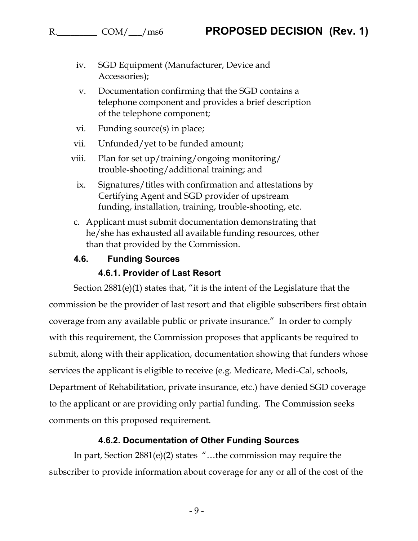- iv. SGD Equipment (Manufacturer, Device and Accessories);
- v. Documentation confirming that the SGD contains a telephone component and provides a brief description of the telephone component;
- vi. Funding source(s) in place;
- vii. Unfunded/yet to be funded amount;
- viii. Plan for set up/training/ongoing monitoring/ trouble-shooting/additional training; and
	- ix. Signatures/titles with confirmation and attestations by Certifying Agent and SGD provider of upstream funding, installation, training, trouble-shooting, etc.
- c. Applicant must submit documentation demonstrating that he/she has exhausted all available funding resources, other than that provided by the Commission.
- **4.6. Funding Sources**

#### **4.6.1. Provider of Last Resort**

Section 2881(e)(1) states that, "it is the intent of the Legislature that the commission be the provider of last resort and that eligible subscribers first obtain coverage from any available public or private insurance." In order to comply with this requirement, the Commission proposes that applicants be required to submit, along with their application, documentation showing that funders whose services the applicant is eligible to receive (e.g. Medicare, Medi-Cal, schools, Department of Rehabilitation, private insurance, etc.) have denied SGD coverage to the applicant or are providing only partial funding. The Commission seeks comments on this proposed requirement.

#### **4.6.2. Documentation of Other Funding Sources**

In part, Section 2881(e)(2) states "…the commission may require the subscriber to provide information about coverage for any or all of the cost of the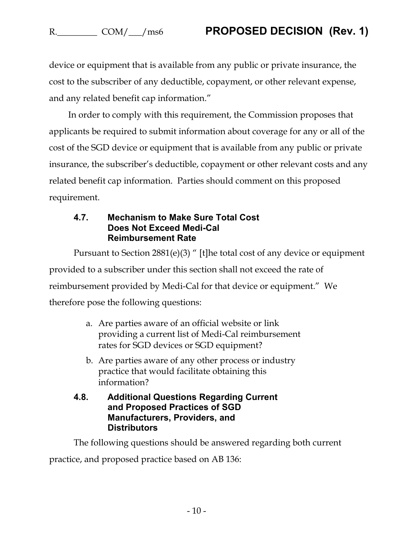device or equipment that is available from any public or private insurance, the cost to the subscriber of any deductible, copayment, or other relevant expense, and any related benefit cap information."

In order to comply with this requirement, the Commission proposes that applicants be required to submit information about coverage for any or all of the cost of the SGD device or equipment that is available from any public or private insurance, the subscriber's deductible, copayment or other relevant costs and any related benefit cap information. Parties should comment on this proposed requirement.

#### **4.7. Mechanism to Make Sure Total Cost Does Not Exceed Medi-Cal Reimbursement Rate**

Pursuant to Section 2881(e)(3) " [t]he total cost of any device or equipment provided to a subscriber under this section shall not exceed the rate of reimbursement provided by Medi-Cal for that device or equipment." We therefore pose the following questions:

- a. Are parties aware of an official website or link providing a current list of Medi-Cal reimbursement rates for SGD devices or SGD equipment?
- b. Are parties aware of any other process or industry practice that would facilitate obtaining this information?
- **4.8. Additional Questions Regarding Current and Proposed Practices of SGD Manufacturers, Providers, and Distributors**

The following questions should be answered regarding both current practice, and proposed practice based on AB 136: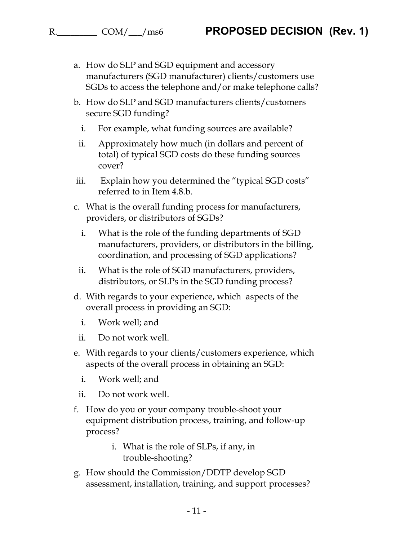- a. How do SLP and SGD equipment and accessory manufacturers (SGD manufacturer) clients/customers use SGDs to access the telephone and/or make telephone calls?
- b. How do SLP and SGD manufacturers clients/customers secure SGD funding?
	- i. For example, what funding sources are available?
	- ii. Approximately how much (in dollars and percent of total) of typical SGD costs do these funding sources cover?
- iii. Explain how you determined the "typical SGD costs" referred to in Item 4.8.b.
- c. What is the overall funding process for manufacturers, providers, or distributors of SGDs?
	- i. What is the role of the funding departments of SGD manufacturers, providers, or distributors in the billing, coordination, and processing of SGD applications?
- ii. What is the role of SGD manufacturers, providers, distributors, or SLPs in the SGD funding process?
- d. With regards to your experience, which aspects of the overall process in providing an SGD:
	- i. Work well; and
- ii. Do not work well.
- e. With regards to your clients/customers experience, which aspects of the overall process in obtaining an SGD:
	- i. Work well; and
- ii. Do not work well.
- f. How do you or your company trouble-shoot your equipment distribution process, training, and follow-up process?
	- i. What is the role of SLPs, if any, in trouble-shooting?
- g. How should the Commission/DDTP develop SGD assessment, installation, training, and support processes?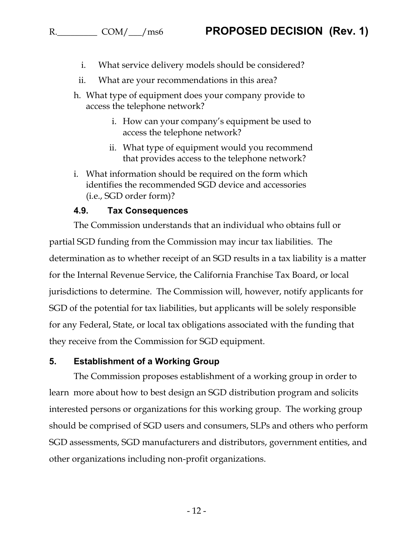- i. What service delivery models should be considered?
- ii. What are your recommendations in this area?
- h. What type of equipment does your company provide to access the telephone network?
	- i. How can your company's equipment be used to access the telephone network?
	- ii. What type of equipment would you recommend that provides access to the telephone network?
- i. What information should be required on the form which identifies the recommended SGD device and accessories (i.e., SGD order form)?

#### **4.9. Tax Consequences**

The Commission understands that an individual who obtains full or partial SGD funding from the Commission may incur tax liabilities. The determination as to whether receipt of an SGD results in a tax liability is a matter for the Internal Revenue Service, the California Franchise Tax Board, or local jurisdictions to determine. The Commission will, however, notify applicants for SGD of the potential for tax liabilities, but applicants will be solely responsible for any Federal, State, or local tax obligations associated with the funding that they receive from the Commission for SGD equipment.

#### **5. Establishment of a Working Group**

The Commission proposes establishment of a working group in order to learn more about how to best design an SGD distribution program and solicits interested persons or organizations for this working group. The working group should be comprised of SGD users and consumers, SLPs and others who perform SGD assessments, SGD manufacturers and distributors, government entities, and other organizations including non-profit organizations.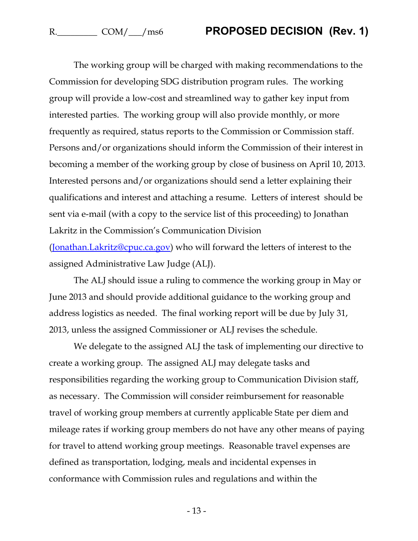The working group will be charged with making recommendations to the Commission for developing SDG distribution program rules. The working group will provide a low-cost and streamlined way to gather key input from interested parties. The working group will also provide monthly, or more frequently as required, status reports to the Commission or Commission staff. Persons and/or organizations should inform the Commission of their interest in becoming a member of the working group by close of business on April 10, 2013. Interested persons and/or organizations should send a letter explaining their qualifications and interest and attaching a resume. Letters of interest should be sent via e-mail (with a copy to the service list of this proceeding) to Jonathan Lakritz in the Commission's Communication Division

(Jonathan.Lakritz@cpuc.ca.gov) who will forward the letters of interest to the assigned Administrative Law Judge (ALJ).

The ALJ should issue a ruling to commence the working group in May or June 2013 and should provide additional guidance to the working group and address logistics as needed. The final working report will be due by July 31, 2013, unless the assigned Commissioner or ALJ revises the schedule.

We delegate to the assigned ALJ the task of implementing our directive to create a working group. The assigned ALJ may delegate tasks and responsibilities regarding the working group to Communication Division staff, as necessary. The Commission will consider reimbursement for reasonable travel of working group members at currently applicable State per diem and mileage rates if working group members do not have any other means of paying for travel to attend working group meetings. Reasonable travel expenses are defined as transportation, lodging, meals and incidental expenses in conformance with Commission rules and regulations and within the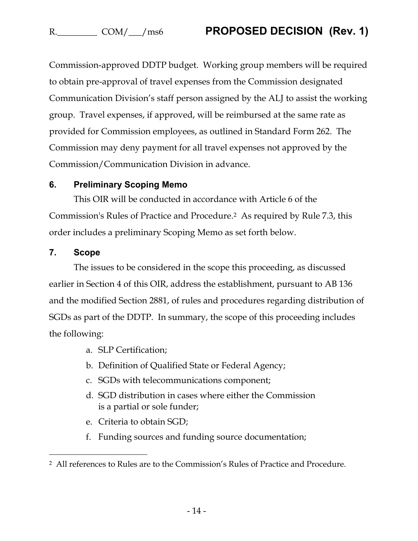Commission-approved DDTP budget. Working group members will be required to obtain pre-approval of travel expenses from the Commission designated Communication Division's staff person assigned by the ALJ to assist the working group. Travel expenses, if approved, will be reimbursed at the same rate as provided for Commission employees, as outlined in Standard Form 262. The Commission may deny payment for all travel expenses not approved by the Commission/Communication Division in advance.

#### **6. Preliminary Scoping Memo**

This OIR will be conducted in accordance with Article 6 of the Commission's Rules of Practice and Procedure.2 As required by Rule 7.3, this order includes a preliminary Scoping Memo as set forth below.

#### **7. Scope**

 $\overline{a}$ 

The issues to be considered in the scope this proceeding, as discussed earlier in Section 4 of this OIR, address the establishment, pursuant to AB 136 and the modified Section 2881, of rules and procedures regarding distribution of SGDs as part of the DDTP. In summary, the scope of this proceeding includes the following:

- a. SLP Certification;
- b. Definition of Qualified State or Federal Agency;
- c. SGDs with telecommunications component;
- d. SGD distribution in cases where either the Commission is a partial or sole funder;
- e. Criteria to obtain SGD;
- f. Funding sources and funding source documentation;

<sup>2</sup> All references to Rules are to the Commission's Rules of Practice and Procedure.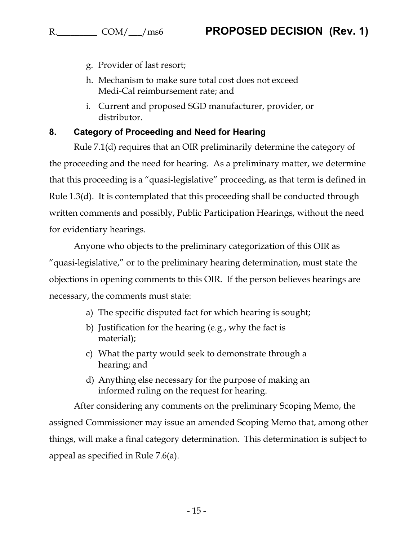- g. Provider of last resort;
- h. Mechanism to make sure total cost does not exceed Medi-Cal reimbursement rate; and
- i. Current and proposed SGD manufacturer, provider, or distributor.

#### **8. Category of Proceeding and Need for Hearing**

Rule 7.1(d) requires that an OIR preliminarily determine the category of the proceeding and the need for hearing. As a preliminary matter, we determine that this proceeding is a "quasi-legislative" proceeding, as that term is defined in Rule 1.3(d). It is contemplated that this proceeding shall be conducted through written comments and possibly, Public Participation Hearings, without the need for evidentiary hearings.

Anyone who objects to the preliminary categorization of this OIR as "quasi-legislative," or to the preliminary hearing determination, must state the objections in opening comments to this OIR. If the person believes hearings are necessary, the comments must state:

- a) The specific disputed fact for which hearing is sought;
- b) Justification for the hearing (e.g., why the fact is material);
- c) What the party would seek to demonstrate through a hearing; and
- d) Anything else necessary for the purpose of making an informed ruling on the request for hearing.

After considering any comments on the preliminary Scoping Memo, the assigned Commissioner may issue an amended Scoping Memo that, among other things, will make a final category determination. This determination is subject to appeal as specified in Rule 7.6(a).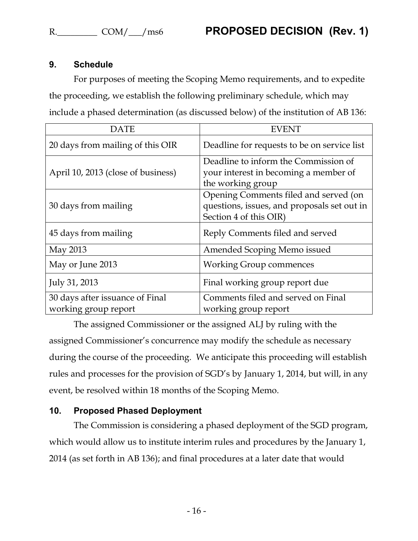### **9. Schedule**

For purposes of meeting the Scoping Memo requirements, and to expedite the proceeding, we establish the following preliminary schedule, which may include a phased determination (as discussed below) of the institution of AB 136:

| DATE                                                    | <b>EVENT</b>                                                                                                   |
|---------------------------------------------------------|----------------------------------------------------------------------------------------------------------------|
| 20 days from mailing of this OIR                        | Deadline for requests to be on service list                                                                    |
| April 10, 2013 (close of business)                      | Deadline to inform the Commission of<br>your interest in becoming a member of<br>the working group             |
| 30 days from mailing                                    | Opening Comments filed and served (on<br>questions, issues, and proposals set out in<br>Section 4 of this OIR) |
| 45 days from mailing                                    | Reply Comments filed and served                                                                                |
| May 2013                                                | Amended Scoping Memo issued                                                                                    |
| May or June 2013                                        | <b>Working Group commences</b>                                                                                 |
| July 31, 2013                                           | Final working group report due                                                                                 |
| 30 days after issuance of Final<br>working group report | Comments filed and served on Final<br>working group report                                                     |

The assigned Commissioner or the assigned ALJ by ruling with the assigned Commissioner's concurrence may modify the schedule as necessary during the course of the proceeding. We anticipate this proceeding will establish rules and processes for the provision of SGD's by January 1, 2014, but will, in any event, be resolved within 18 months of the Scoping Memo.

#### **10. Proposed Phased Deployment**

The Commission is considering a phased deployment of the SGD program, which would allow us to institute interim rules and procedures by the January 1, 2014 (as set forth in AB 136); and final procedures at a later date that would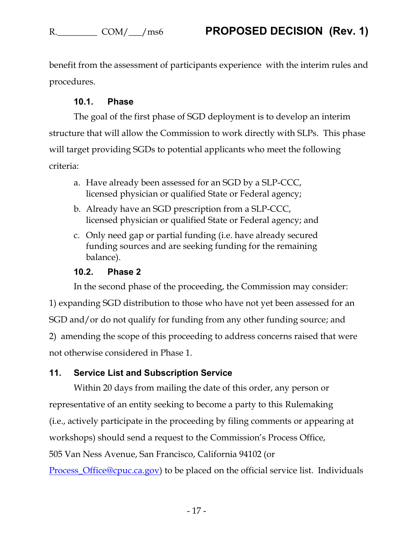benefit from the assessment of participants experience with the interim rules and procedures.

### **10.1. Phase**

The goal of the first phase of SGD deployment is to develop an interim structure that will allow the Commission to work directly with SLPs. This phase will target providing SGDs to potential applicants who meet the following criteria:

- a. Have already been assessed for an SGD by a SLP-CCC, licensed physician or qualified State or Federal agency;
- b. Already have an SGD prescription from a SLP-CCC, licensed physician or qualified State or Federal agency; and
- c. Only need gap or partial funding (i.e. have already secured funding sources and are seeking funding for the remaining balance).

#### **10.2. Phase 2**

In the second phase of the proceeding, the Commission may consider:

1) expanding SGD distribution to those who have not yet been assessed for an SGD and/or do not qualify for funding from any other funding source; and 2) amending the scope of this proceeding to address concerns raised that were not otherwise considered in Phase 1.

## **11. Service List and Subscription Service**

Within 20 days from mailing the date of this order, any person or representative of an entity seeking to become a party to this Rulemaking (i.e., actively participate in the proceeding by filing comments or appearing at workshops) should send a request to the Commission's Process Office, 505 Van Ness Avenue, San Francisco, California 94102 (or

[Process\\_Office@cpuc.ca.gov\)](mailto:Process_Office@cpuc.ca.gov) to be placed on the official service list. Individuals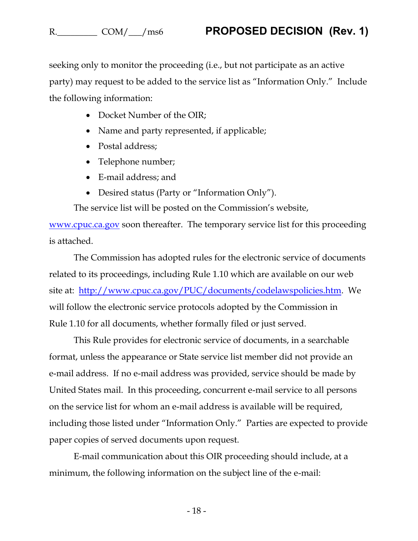seeking only to monitor the proceeding (i.e., but not participate as an active party) may request to be added to the service list as "Information Only." Include the following information:

- Docket Number of the OIR;
- Name and party represented, if applicable;
- Postal address:
- Telephone number;
- E-mail address; and
- Desired status (Party or "Information Only").

The service list will be posted on the Commission's website,

www.cpuc.ca.gov soon thereafter. The temporary service list for this proceeding is attached.

The Commission has adopted rules for the electronic service of documents related to its proceedings, including Rule 1.10 which are available on our web site at: [http://www.cpuc.ca.gov/PUC/documents/codelawspolicies.htm.](http://www.cpuc.ca.gov/PUC/documents/codelawspolicies.htm) We will follow the electronic service protocols adopted by the Commission in Rule 1.10 for all documents, whether formally filed or just served.

This Rule provides for electronic service of documents, in a searchable format, unless the appearance or State service list member did not provide an e-mail address. If no e-mail address was provided, service should be made by United States mail. In this proceeding, concurrent e-mail service to all persons on the service list for whom an e-mail address is available will be required, including those listed under "Information Only." Parties are expected to provide paper copies of served documents upon request.

E-mail communication about this OIR proceeding should include, at a minimum, the following information on the subject line of the e-mail: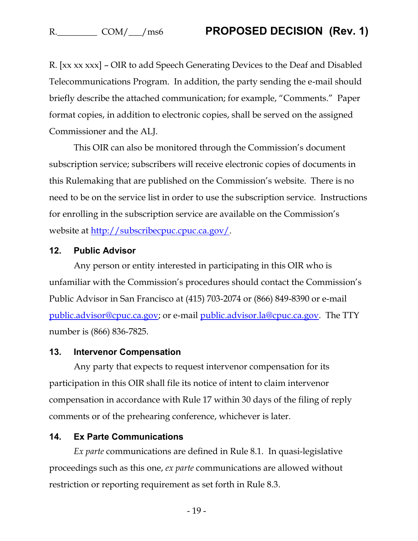R. [xx xx xxx] – OIR to add Speech Generating Devices to the Deaf and Disabled Telecommunications Program. In addition, the party sending the e-mail should briefly describe the attached communication; for example, "Comments." Paper format copies, in addition to electronic copies, shall be served on the assigned Commissioner and the ALJ.

This OIR can also be monitored through the Commission's document subscription service; subscribers will receive electronic copies of documents in this Rulemaking that are published on the Commission's website. There is no need to be on the service list in order to use the subscription service. Instructions for enrolling in the subscription service are available on the Commission's website at [http://subscribecpuc.cpuc.ca.gov/.](http://subscribecpuc.cpuc.ca.gov/)

#### **12. Public Advisor**

Any person or entity interested in participating in this OIR who is unfamiliar with the Commission's procedures should contact the Commission's Public Advisor in San Francisco at (415) 703-2074 or (866) 849-8390 or e-mail [public.advisor@cpuc.ca.gov;](mailto:public.advisor@cpuc.ca.gov) or e-mail [public.advisor.la@cpuc.ca.gov.](mailto:public.advisor.la@cpuc.ca.gov) The TTY number is (866) 836-7825.

#### **13. Intervenor Compensation**

Any party that expects to request intervenor compensation for its participation in this OIR shall file its notice of intent to claim intervenor compensation in accordance with Rule 17 within 30 days of the filing of reply comments or of the prehearing conference, whichever is later.

#### **14. Ex Parte Communications**

*Ex parte* communications are defined in Rule 8.1. In quasi-legislative proceedings such as this one, *ex parte* communications are allowed without restriction or reporting requirement as set forth in Rule 8.3.

- 19 -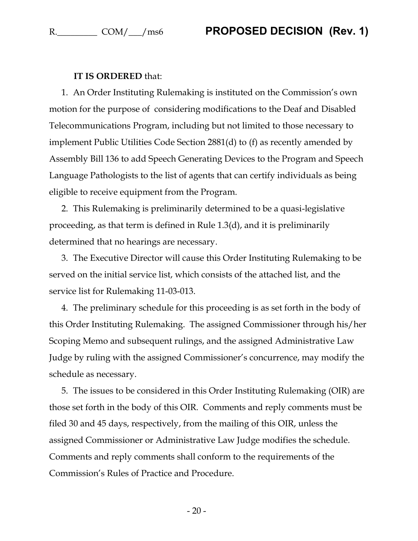#### **IT IS ORDERED** that:

1. An Order Instituting Rulemaking is instituted on the Commission's own motion for the purpose of considering modifications to the Deaf and Disabled Telecommunications Program, including but not limited to those necessary to implement Public Utilities Code Section 2881(d) to (f) as recently amended by Assembly Bill 136 to add Speech Generating Devices to the Program and Speech Language Pathologists to the list of agents that can certify individuals as being eligible to receive equipment from the Program.

2. This Rulemaking is preliminarily determined to be a quasi-legislative proceeding, as that term is defined in Rule 1.3(d), and it is preliminarily determined that no hearings are necessary.

3. The Executive Director will cause this Order Instituting Rulemaking to be served on the initial service list, which consists of the attached list, and the service list for Rulemaking 11-03-013.

4. The preliminary schedule for this proceeding is as set forth in the body of this Order Instituting Rulemaking. The assigned Commissioner through his/her Scoping Memo and subsequent rulings, and the assigned Administrative Law Judge by ruling with the assigned Commissioner's concurrence, may modify the schedule as necessary.

5. The issues to be considered in this Order Instituting Rulemaking (OIR) are those set forth in the body of this OIR. Comments and reply comments must be filed 30 and 45 days, respectively, from the mailing of this OIR, unless the assigned Commissioner or Administrative Law Judge modifies the schedule. Comments and reply comments shall conform to the requirements of the Commission's Rules of Practice and Procedure.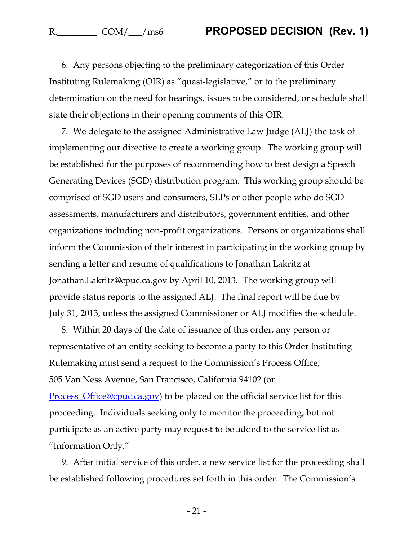6. Any persons objecting to the preliminary categorization of this Order Instituting Rulemaking (OIR) as "quasi-legislative," or to the preliminary determination on the need for hearings, issues to be considered, or schedule shall state their objections in their opening comments of this OIR.

7. We delegate to the assigned Administrative Law Judge (ALJ) the task of implementing our directive to create a working group. The working group will be established for the purposes of recommending how to best design a Speech Generating Devices (SGD) distribution program. This working group should be comprised of SGD users and consumers, SLPs or other people who do SGD assessments, manufacturers and distributors, government entities, and other organizations including non-profit organizations. Persons or organizations shall inform the Commission of their interest in participating in the working group by sending a letter and resume of qualifications to Jonathan Lakritz at Jonathan.Lakritz@cpuc.ca.gov by April 10, 2013. The working group will provide status reports to the assigned ALJ. The final report will be due by July 31, 2013, unless the assigned Commissioner or ALJ modifies the schedule.

8. Within 20 days of the date of issuance of this order, any person or representative of an entity seeking to become a party to this Order Instituting Rulemaking must send a request to the Commission's Process Office, 505 Van Ness Avenue, San Francisco, California 94102 (or Process Office@cpuc.ca.gov) to be placed on the official service list for this proceeding. Individuals seeking only to monitor the proceeding, but not participate as an active party may request to be added to the service list as "Information Only."

9. After initial service of this order, a new service list for the proceeding shall be established following procedures set forth in this order. The Commission's

- 21 -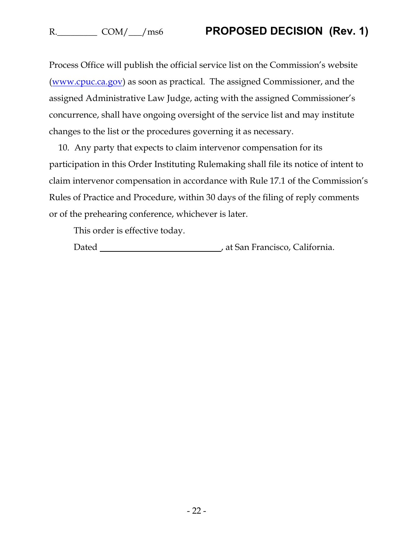Process Office will publish the official service list on the Commission's website (www.cpuc.ca.gov) as soon as practical. The assigned Commissioner, and the assigned Administrative Law Judge, acting with the assigned Commissioner's concurrence, shall have ongoing oversight of the service list and may institute changes to the list or the procedures governing it as necessary.

10. Any party that expects to claim intervenor compensation for its participation in this Order Instituting Rulemaking shall file its notice of intent to claim intervenor compensation in accordance with Rule 17.1 of the Commission's Rules of Practice and Procedure, within 30 days of the filing of reply comments or of the prehearing conference, whichever is later.

This order is effective today.

Dated **Material Contract Contract Contract Contract Contract Contract Contract Contract Contract Contract Contract Contract Contract Contract Contract Contract Contract Contract Contract Contract Contract Contract Contract**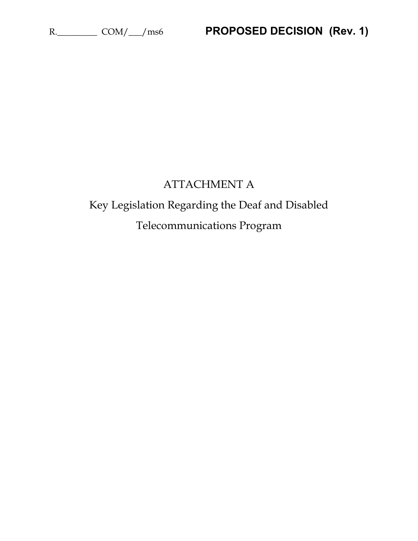## ATTACHMENT A

# Key Legislation Regarding the Deaf and Disabled Telecommunications Program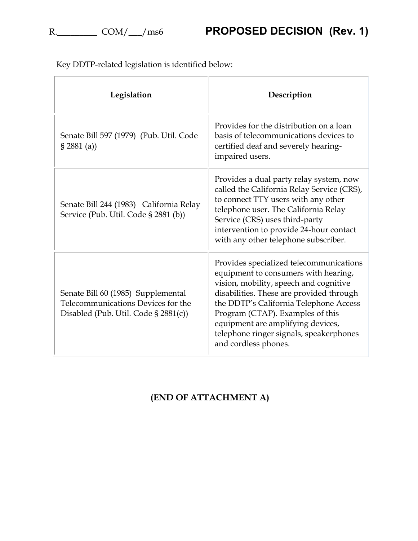| Legislation                                                                                                      | Description                                                                                                                                                                                                                                                                                                                                                 |
|------------------------------------------------------------------------------------------------------------------|-------------------------------------------------------------------------------------------------------------------------------------------------------------------------------------------------------------------------------------------------------------------------------------------------------------------------------------------------------------|
| Senate Bill 597 (1979) (Pub. Util. Code<br>$\S 2881$ (a))                                                        | Provides for the distribution on a loan<br>basis of telecommunications devices to<br>certified deaf and severely hearing-<br>impaired users.                                                                                                                                                                                                                |
| Senate Bill 244 (1983) California Relay<br>Service (Pub. Util. Code § 2881 (b))                                  | Provides a dual party relay system, now<br>called the California Relay Service (CRS),<br>to connect TTY users with any other<br>telephone user. The California Relay<br>Service (CRS) uses third-party<br>intervention to provide 24-hour contact<br>with any other telephone subscriber.                                                                   |
| Senate Bill 60 (1985) Supplemental<br>Telecommunications Devices for the<br>Disabled (Pub. Util. Code § 2881(c)) | Provides specialized telecommunications<br>equipment to consumers with hearing,<br>vision, mobility, speech and cognitive<br>disabilities. These are provided through<br>the DDTP's California Telephone Access<br>Program (CTAP). Examples of this<br>equipment are amplifying devices,<br>telephone ringer signals, speakerphones<br>and cordless phones. |

Key DDTP-related legislation is identified below:

## **(END OF ATTACHMENT A)**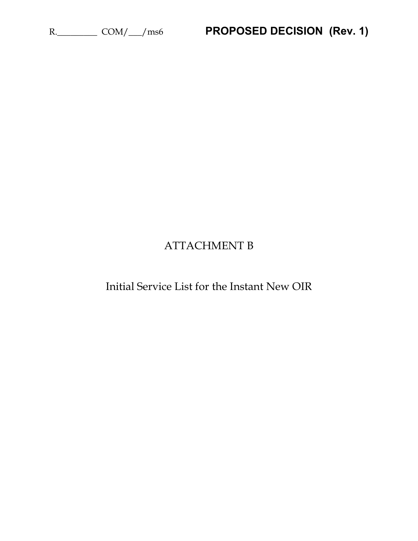## ATTACHMENT B

Initial Service List for the Instant New OIR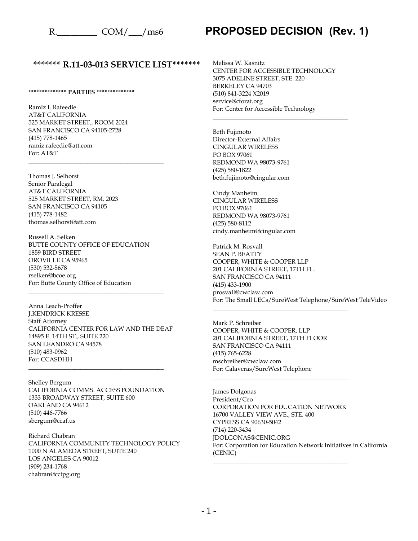#### **\*\*\*\*\*\*\* R.11-03-013 SERVICE LIST\*\*\*\*\*\*\***

#### **\*\*\*\*\*\*\*\*\*\*\*\*\*\* PARTIES \*\*\*\*\*\*\*\*\*\*\*\*\*\***

Ramiz I. Rafeedie AT&T CALIFORNIA 525 MARKET STREET., ROOM 2024 SAN FRANCISCO CA 94105-2728 (415) 778-1465 ramiz.rafeedie@att.com For: AT&T

\_\_\_\_\_\_\_\_\_\_\_\_\_\_\_\_\_\_\_\_\_\_\_\_\_\_\_\_\_\_\_\_\_\_\_\_\_\_\_\_\_\_\_\_

Thomas J. Selhorst Senior Paralegal AT&T CALIFORNIA 525 MARKET STREET, RM. 2023 SAN FRANCISCO CA 94105 (415) 778-1482 thomas.selhorst@att.com

Russell A. Selken BUTTE COUNTY OFFICE OF EDUCATION 1859 BIRD STREET OROVILLE CA 95965 (530) 532-5678 rselken@bcoe.org For: Butte County Office of Education

\_\_\_\_\_\_\_\_\_\_\_\_\_\_\_\_\_\_\_\_\_\_\_\_\_\_\_\_\_\_\_\_\_\_\_\_\_\_\_\_\_\_\_\_

Anna Leach-Proffer J.KENDRICK KRESSE Staff Attorney CALIFORNIA CENTER FOR LAW AND THE DEAF 14895 E. 14TH ST., SUITE 220 SAN LEANDRO CA 94578 (510) 483-0962 For: CCASDHH

Shelley Bergum CALIFORNIA COMMS. ACCESS FOUNDATION 1333 BROADWAY STREET, SUITE 600 OAKLAND CA 94612 (510) 446-7766 sbergum@ccaf.us

\_\_\_\_\_\_\_\_\_\_\_\_\_\_\_\_\_\_\_\_\_\_\_\_\_\_\_\_\_\_\_\_\_\_\_\_\_\_\_\_\_\_\_\_

Richard Chabran CALIFORNIA COMMUNITY TECHNOLOGY POLICY 1000 N ALAMEDA STREET, SUITE 240 LOS ANGELES CA 90012 (909) 234-1768 chabran@cctpg.org

Melissa W. Kasnitz CENTER FOR ACCESSIBLE TECHNOLOGY 3075 ADELINE STREET, STE. 220 BERKELEY CA 94703 (510) 841-3224 X2019 service@cforat.org For: Center for Accessible Technology

\_\_\_\_\_\_\_\_\_\_\_\_\_\_\_\_\_\_\_\_\_\_\_\_\_\_\_\_\_\_\_\_\_\_\_\_\_\_\_\_\_\_\_\_

Beth Fujimoto Director-External Affairs CINGULAR WIRELESS PO BOX 97061 REDMOND WA 98073-9761 (425) 580-1822 beth.fujimoto@cingular.com

Cindy Manheim CINGULAR WIRELESS PO BOX 97061 REDMOND WA 98073-9761 (425) 580-8112 cindy.manheim@cingular.com

Patrick M. Rosvall SEAN P. BEATTY COOPER, WHITE & COOPER LLP 201 CALIFORNIA STREET, 17TH FL. SAN FRANCISCO CA 94111 (415) 433-1900 prosvall@cwclaw.com For: The Small LECs/SureWest Telephone/SureWest TeleVideo

Mark P. Schreiber COOPER, WHITE & COOPER, LLP 201 CALIFORNIA STREET, 17TH FLOOR SAN FRANCISCO CA 94111 (415) 765-6228 mschreiber@cwclaw.com For: Calaveras/SureWest Telephone

\_\_\_\_\_\_\_\_\_\_\_\_\_\_\_\_\_\_\_\_\_\_\_\_\_\_\_\_\_\_\_\_\_\_\_\_\_\_\_\_\_\_\_\_

\_\_\_\_\_\_\_\_\_\_\_\_\_\_\_\_\_\_\_\_\_\_\_\_\_\_\_\_\_\_\_\_\_\_\_\_\_\_\_\_\_\_\_\_

\_\_\_\_\_\_\_\_\_\_\_\_\_\_\_\_\_\_\_\_\_\_\_\_\_\_\_\_\_\_\_\_\_\_\_\_\_\_\_\_\_\_\_\_

James Dolgonas President/Ceo CORPORATION FOR EDUCATION NETWORK 16700 VALLEY VIEW AVE., STE. 400 CYPRESS CA 90630-5042 (714) 220-3434 JDOLGONAS@CENIC.ORG For: Corporation for Education Network Initiatives in California (CENIC)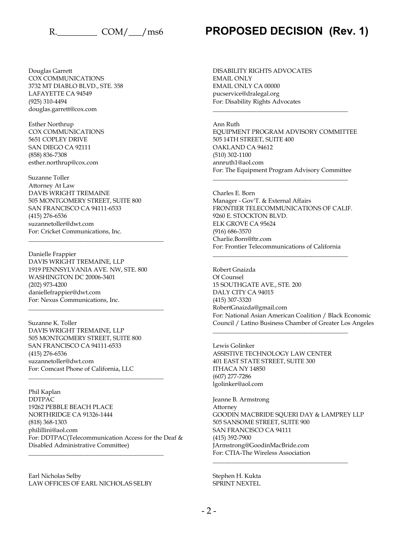Douglas Garrett COX COMMUNICATIONS 3732 MT DIABLO BLVD., STE. 358 LAFAYETTE CA 94549 (925) 310-4494 douglas.garrett@cox.com

Esther Northrup COX COMMUNICATIONS 5651 COPLEY DRIVE SAN DIEGO CA 92111 (858) 836-7308 esther.northrup@cox.com

Suzanne Toller Attorney At Law DAVIS WRIGHT TREMAINE 505 MONTGOMERY STREET, SUITE 800 SAN FRANCISCO CA 94111-6533 (415) 276-6536 suzannetoller@dwt.com For: Cricket Communications, Inc.

Danielle Frappier DAVIS WRIGHT TREMAINE, LLP 1919 PENNSYLVANIA AVE. NW, STE. 800 WASHINGTON DC 20006-3401 (202) 973-4200 daniellefrappier@dwt.com For: Nexus Communications, Inc. \_\_\_\_\_\_\_\_\_\_\_\_\_\_\_\_\_\_\_\_\_\_\_\_\_\_\_\_\_\_\_\_\_\_\_\_\_\_\_\_\_\_\_\_

\_\_\_\_\_\_\_\_\_\_\_\_\_\_\_\_\_\_\_\_\_\_\_\_\_\_\_\_\_\_\_\_\_\_\_\_\_\_\_\_\_\_\_\_

Suzanne K. Toller DAVIS WRIGHT TREMAINE, LLP 505 MONTGOMERY STREET, SUITE 800 SAN FRANCISCO CA 94111-6533 (415) 276-6536 suzannetoller@dwt.com For: Comcast Phone of California, LLC

\_\_\_\_\_\_\_\_\_\_\_\_\_\_\_\_\_\_\_\_\_\_\_\_\_\_\_\_\_\_\_\_\_\_\_\_\_\_\_\_\_\_\_\_

Phil Kaplan DDTPAC 19262 PEBBLE BEACH PLACE NORTHRIDGE CA 91326-1444 (818) 368-1303 philillini@aol.com For: DDTPAC(Telecommunication Access for the Deaf & Disabled Administrative Committee)

Earl Nicholas Selby LAW OFFICES OF EARL NICHOLAS SELBY

\_\_\_\_\_\_\_\_\_\_\_\_\_\_\_\_\_\_\_\_\_\_\_\_\_\_\_\_\_\_\_\_\_\_\_\_\_\_\_\_\_\_\_\_

R. COM/ / ms6 **PROPOSED DECISION (Rev. 1)** 

DISABILITY RIGHTS ADVOCATES EMAIL ONLY EMAIL ONLY CA 00000 pucservice@dralegal.org For: Disability Rights Advocates

Ann Ruth EQUIPMENT PROGRAM ADVISORY COMMITTEE 505 14TH STREET, SUITE 400 OAKLAND CA 94612 (510) 302-1100 annruth1@aol.com For: The Equipment Program Advisory Committee

\_\_\_\_\_\_\_\_\_\_\_\_\_\_\_\_\_\_\_\_\_\_\_\_\_\_\_\_\_\_\_\_\_\_\_\_\_\_\_\_\_\_\_\_

Charles E. Born Manager - Gov'T. & External Affairs FRONTIER TELECOMMUNICATIONS OF CALIF. 9260 E. STOCKTON BLVD. ELK GROVE CA 95624 (916) 686-3570 Charlie.Born@ftr.com For: Frontier Telecommunications of California

\_\_\_\_\_\_\_\_\_\_\_\_\_\_\_\_\_\_\_\_\_\_\_\_\_\_\_\_\_\_\_\_\_\_\_\_\_\_\_\_\_\_\_\_

\_\_\_\_\_\_\_\_\_\_\_\_\_\_\_\_\_\_\_\_\_\_\_\_\_\_\_\_\_\_\_\_\_\_\_\_\_\_\_\_\_\_\_\_

Robert Gnaizda Of Counsel 15 SOUTHGATE AVE., STE. 200 DALY CITY CA 94015 (415) 307-3320 RobertGnaizda@gmail.com For: National Asian American Coalition / Black Economic Council / Latino Business Chamber of Greater Los Angeles

Lewis Golinker ASSISTIVE TECHNOLOGY LAW CENTER 401 EAST STATE STREET, SUITE 300 ITHACA NY 14850 (607) 277-7286 lgolinker@aol.com

\_\_\_\_\_\_\_\_\_\_\_\_\_\_\_\_\_\_\_\_\_\_\_\_\_\_\_\_\_\_\_\_\_\_\_\_\_\_\_\_\_\_\_\_

Jeanne B. Armstrong Attorney GOODIN MACBRIDE SQUERI DAY & LAMPREY LLP 505 SANSOME STREET, SUITE 900 SAN FRANCISCO CA 94111 (415) 392-7900 JArmstrong@GoodinMacBride.com For: CTIA-The Wireless Association

\_\_\_\_\_\_\_\_\_\_\_\_\_\_\_\_\_\_\_\_\_\_\_\_\_\_\_\_\_\_\_\_\_\_\_\_\_\_\_\_\_\_\_\_

Stephen H. Kukta SPRINT NEXTEL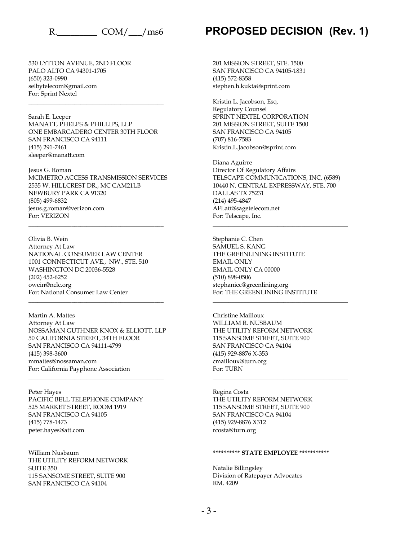530 LYTTON AVENUE, 2ND FLOOR PALO ALTO CA 94301-1705 (650) 323-0990 selbytelecom@gmail.com For: Sprint Nextel

Sarah E. Leeper MANATT, PHELPS & PHILLIPS, LLP ONE EMBARCADERO CENTER 30TH FLOOR SAN FRANCISCO CA 94111 (415) 291-7461 sleeper@manatt.com

\_\_\_\_\_\_\_\_\_\_\_\_\_\_\_\_\_\_\_\_\_\_\_\_\_\_\_\_\_\_\_\_\_\_\_\_\_\_\_\_\_\_\_\_

Jesus G. Roman MCIMETRO ACCESS TRANSMISSION SERVICES 2535 W. HILLCREST DR., MC CAM21LB NEWBURY PARK CA 91320 (805) 499-6832 jesus.g.roman@verizon.com For: VERIZON

\_\_\_\_\_\_\_\_\_\_\_\_\_\_\_\_\_\_\_\_\_\_\_\_\_\_\_\_\_\_\_\_\_\_\_\_\_\_\_\_\_\_\_\_

Olivia B. Wein Attorney At Law NATIONAL CONSUMER LAW CENTER 1001 CONNECTICUT AVE., NW., STE. 510 WASHINGTON DC 20036-5528 (202) 452-6252 owein@nclc.org For: National Consumer Law Center

Martin A. Mattes Attorney At Law NOSSAMAN GUTHNER KNOX & ELLIOTT, LLP 50 CALIFORNIA STREET, 34TH FLOOR SAN FRANCISCO CA 94111-4799 (415) 398-3600 mmattes@nossaman.com For: California Payphone Association

\_\_\_\_\_\_\_\_\_\_\_\_\_\_\_\_\_\_\_\_\_\_\_\_\_\_\_\_\_\_\_\_\_\_\_\_\_\_\_\_\_\_\_\_

\_\_\_\_\_\_\_\_\_\_\_\_\_\_\_\_\_\_\_\_\_\_\_\_\_\_\_\_\_\_\_\_\_\_\_\_\_\_\_\_\_\_\_\_

Peter Hayes PACIFIC BELL TELEPHONE COMPANY 525 MARKET STREET, ROOM 1919 SAN FRANCISCO CA 94105 (415) 778-1473 peter.hayes@att.com

William Nusbaum THE UTILITY REFORM NETWORK SUITE 350 115 SANSOME STREET, SUITE 900 SAN FRANCISCO CA 94104

## R. COM/ / ms6 **PROPOSED DECISION (Rev. 1)**

201 MISSION STREET, STE. 1500 SAN FRANCISCO CA 94105-1831 (415) 572-8358 stephen.h.kukta@sprint.com

Kristin L. Jacobson, Esq. Regulatory Counsel SPRINT NEXTEL CORPORATION 201 MISSION STREET, SUITE 1500 SAN FRANCISCO CA 94105 (707) 816-7583 Kristin.L.Jacobson@sprint.com

Diana Aguirre Director Of Regulatory Affairs TELSCAPE COMMUNICATIONS, INC. (6589) 10440 N. CENTRAL EXPRESSWAY, STE. 700 DALLAS TX 75231 (214) 495-4847 AFLatt@sagetelecom.net For: Telscape, Inc.

\_\_\_\_\_\_\_\_\_\_\_\_\_\_\_\_\_\_\_\_\_\_\_\_\_\_\_\_\_\_\_\_\_\_\_\_\_\_\_\_\_\_\_\_

\_\_\_\_\_\_\_\_\_\_\_\_\_\_\_\_\_\_\_\_\_\_\_\_\_\_\_\_\_\_\_\_\_\_\_\_\_\_\_\_\_\_\_\_

\_\_\_\_\_\_\_\_\_\_\_\_\_\_\_\_\_\_\_\_\_\_\_\_\_\_\_\_\_\_\_\_\_\_\_\_\_\_\_\_\_\_\_\_

Stephanie C. Chen SAMUEL S. KANG THE GREENLINING INSTITUTE EMAIL ONLY EMAIL ONLY CA 00000 (510) 898-0506 stephaniec@greenlining.org For: THE GREENLINING INSTITUTE

Christine Mailloux WILLIAM R. NUSBAUM THE UTILITY REFORM NETWORK 115 SANSOME STREET, SUITE 900 SAN FRANCISCO CA 94104 (415) 929-8876 X-353 cmailloux@turn.org For: TURN

Regina Costa THE UTILITY REFORM NETWORK 115 SANSOME STREET, SUITE 900 SAN FRANCISCO CA 94104 (415) 929-8876 X312 rcosta@turn.org

#### **\*\*\*\*\*\*\*\*\*\* STATE EMPLOYEE \*\*\*\*\*\*\*\*\*\*\***

Natalie Billingsley Division of Ratepayer Advocates RM. 4209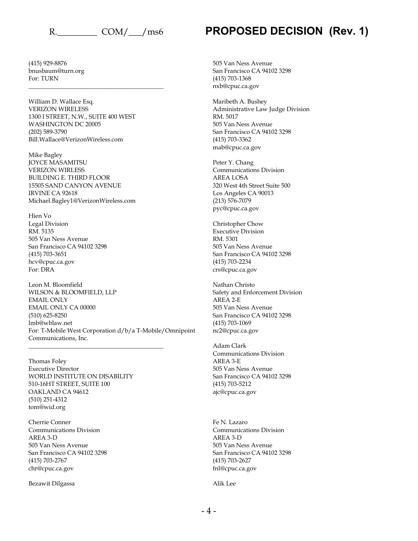(415) 929-8876 bnusbaum@turn.org For: TURN

William D. Wallace Esq. VERIZON WIRELESS 1300 I STREET, N.W., SUITE 400 WEST WASHINGTON DC 20005 (202) 589-3790 Bill.Wallace@VerizonWireless.com

\_\_\_\_\_\_\_\_\_\_\_\_\_\_\_\_\_\_\_\_\_\_\_\_\_\_\_\_\_\_\_\_\_\_\_\_\_\_\_\_\_\_\_\_

Mike Bagley JOYCE MASAMITSU VERIZON WIRLESS BUILDING E. THIRD FLOOR 15505 SAND CANYON AVENUE IRVINE CA 92618 Michael.Bagley1@VerizonWireless.com

Hien Vo Legal Division RM. 5135 505 Van Ness Avenue San Francisco CA 94102 3298 (415) 703-3651 hcv@cpuc.ca.gov For: DRA

Leon M. Bloomfield WILSON & BLOOMFIELD, LLP EMAIL ONLY EMAIL ONLY CA 00000 (510) 625-8250 lmb@wblaw.net For: T-Mobile West Corporation d/b/a T-Mobile/Omnipoint Communications, Inc. \_\_\_\_\_\_\_\_\_\_\_\_\_\_\_\_\_\_\_\_\_\_\_\_\_\_\_\_\_\_\_\_\_\_\_\_\_\_\_\_\_\_\_\_

Thomas Foley Executive Director WORLD INSTITUTE ON DISABILITY 510-16HT STREET, SUITE 100 OAKLAND CA 94612 (510) 251-4312 tom@wid.org

Cherrie Conner Communications Division AREA 3-D 505 Van Ness Avenue San Francisco CA 94102 3298 (415) 703-2767 chr@cpuc.ca.gov

Bezawit Dilgassa

505 Van Ness Avenue San Francisco CA 94102 3298 (415) 703-1368 nxb@cpuc.ca.gov

Maribeth A. Bushey Administrative Law Judge Division RM. 5017 505 Van Ness Avenue San Francisco CA 94102 3298 (415) 703-3362 mab@cpuc.ca.gov

Peter Y. Chang Communications Division AREA LOSA 320 West 4th Street Suite 500 Los Angeles CA 90013 (213) 576-7079 pyc@cpuc.ca.gov

Christopher Chow Executive Division RM. 5301 505 Van Ness Avenue San Francisco CA 94102 3298 (415) 703-2234 crs@cpuc.ca.gov

Nathan Christo Safety and Enforcement Division AREA 2-E 505 Van Ness Avenue San Francisco CA 94102 3298 (415) 703-1069 nc2@cpuc.ca.gov

Adam Clark Communications Division AREA 3-E 505 Van Ness Avenue San Francisco CA 94102 3298 (415) 703-5212 ajc@cpuc.ca.gov

Fe N. Lazaro Communications Division AREA 3-D 505 Van Ness Avenue San Francisco CA 94102 3298 (415) 703-2627 fnl@cpuc.ca.gov

Alik Lee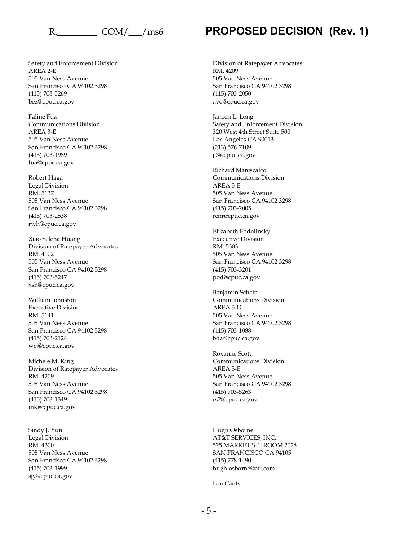Safety and Enforcement Division AREA 2-E 505 Van Ness Avenue San Francisco CA 94102 3298 (415) 703-5269 bez@cpuc.ca.gov

Faline Fua Communications Division AREA 3-E 505 Van Ness Avenue San Francisco CA 94102 3298 (415) 703-1989 fua@cpuc.ca.gov

Robert Haga Legal Division RM. 5137 505 Van Ness Avenue San Francisco CA 94102 3298 (415) 703-2538 rwh@cpuc.ca.gov

Xiao Selena Huang Division of Ratepayer Advocates RM. 4102 505 Van Ness Avenue San Francisco CA 94102 3298 (415) 703-5247 xsh@cpuc.ca.gov

William Johnston Executive Division RM. 5141 505 Van Ness Avenue San Francisco CA 94102 3298 (415) 703-2124 wej@cpuc.ca.gov

Michele M. King Division of Ratepayer Advocates RM. 4209 505 Van Ness Avenue San Francisco CA 94102 3298 (415) 703-1349 mki@cpuc.ca.gov

Sindy J. Yun Legal Division RM. 4300 505 Van Ness Avenue San Francisco CA 94102 3298 (415) 703-1999 sjy@cpuc.ca.gov

## R. COM/ / ms6 **PROPOSED DECISION (Rev. 1)**

Division of Ratepayer Advocates RM. 4209 505 Van Ness Avenue San Francisco CA 94102 3298 (415) 703-2050 ayo@cpuc.ca.gov

Janeen L. Long Safety and Enforcement Division 320 West 4th Street Suite 500 Los Angeles CA 90013 (213) 576-7109 jl3@cpuc.ca.gov

Richard Maniscalco Communications Division AREA 3-E 505 Van Ness Avenue San Francisco CA 94102 3298 (415) 703-2005 rcm@cpuc.ca.gov

Elizabeth Podolinsky Executive Division RM. 5303 505 Van Ness Avenue San Francisco CA 94102 3298 (415) 703-3201 pod@cpuc.ca.gov

Benjamin Schein Communications Division AREA 3-D 505 Van Ness Avenue San Francisco CA 94102 3298 (415) 703-1088 bda@cpuc.ca.gov

Roxanne Scott Communications Division AREA 3-E 505 Van Ness Avenue San Francisco CA 94102 3298 (415) 703-5263 rs2@cpuc.ca.gov

Hugh Osborne AT&T SERVICES, INC. 525 MARKET ST., ROOM 2028 SAN FRANCISCO CA 94105 (415) 778-1490 hugh.osborne@att.com

Len Canty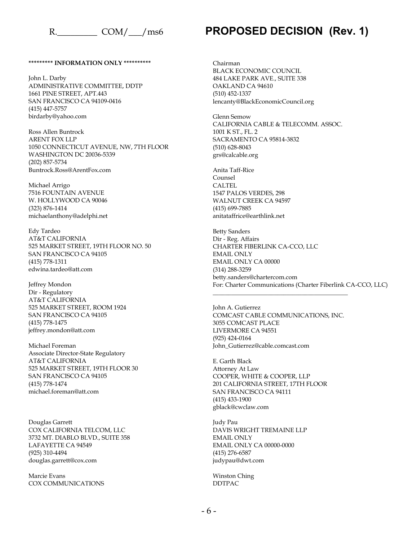#### **\*\*\*\*\*\*\*\*\* INFORMATION ONLY \*\*\*\*\*\*\*\*\*\***

John L. Darby ADMINISTRATIVE COMMITTEE, DDTP 1661 PINE STREET, APT.443 SAN FRANCISCO CA 94109-0416 (415) 447-5757 birdarby@yahoo.com

Ross Allen Buntrock ARENT FOX LLP 1050 CONNECTICUT AVENUE, NW, 7TH FLOOR WASHINGTON DC 20036-5339 (202) 857-5734 Buntrock.Ross@ArentFox.com

Michael Arrigo 7516 FOUNTAIN AVENUE W. HOLLYWOOD CA 90046 (323) 876-1414 michaelanthony@adelphi.net

Edy Tardeo AT&T CALIFORNIA 525 MARKET STREET, 19TH FLOOR NO. 50 SAN FRANCISCO CA 94105 (415) 778-1311 edwina.tardeo@att.com

Jeffrey Mondon Dir - Regulatory AT&T CALIFORNIA 525 MARKET STREET, ROOM 1924 SAN FRANCISCO CA 94105 (415) 778-1475 jeffrey.mondon@att.com

Michael Foreman Associate Director-State Regulatory AT&T CALIFORNIA 525 MARKET STREET, 19TH FLOOR 30 SAN FRANCISCO CA 94105 (415) 778-1474 michael.foreman@att.com

Douglas Garrett COX CALIFORNIA TELCOM, LLC 3732 MT. DIABLO BLVD., SUITE 358 LAFAYETTE CA 94549 (925) 310-4494 douglas.garrett@cox.com

Marcie Evans COX COMMUNICATIONS

## R. COM/ / ms6 **PROPOSED DECISION (Rev. 1)**

Chairman BLACK ECONOMIC COUNCIL 484 LAKE PARK AVE., SUITE 338 OAKLAND CA 94610 (510) 452-1337 lencanty@BlackEconomicCouncil.org

Glenn Semow CALIFORNIA CABLE & TELECOMM. ASSOC. 1001 K ST., FL. 2 SACRAMENTO CA 95814-3832 (510) 628-8043 grs@calcable.org

Anita Taff-Rice Counsel **CALTEL** 1547 PALOS VERDES, 298 WALNUT CREEK CA 94597 (415) 699-7885 anitataffrice@earthlink.net

Betty Sanders Dir - Reg. Affairs CHARTER FIBERLINK CA-CCO, LLC EMAIL ONLY EMAIL ONLY CA 00000 (314) 288-3259 betty.sanders@chartercom.com For: Charter Communications (Charter Fiberlink CA-CCO, LLC)

John A. Gutierrez COMCAST CABLE COMMUNICATIONS, INC. 3055 COMCAST PLACE LIVERMORE CA 94551 (925) 424-0164 John\_Gutierrez@cable.comcast.com

\_\_\_\_\_\_\_\_\_\_\_\_\_\_\_\_\_\_\_\_\_\_\_\_\_\_\_\_\_\_\_\_\_\_\_\_\_\_\_\_\_\_\_\_

E. Garth Black Attorney At Law COOPER, WHITE & COOPER, LLP 201 CALIFORNIA STREET, 17TH FLOOR SAN FRANCISCO CA 94111 (415) 433-1900 gblack@cwclaw.com

Judy Pau DAVIS WRIGHT TREMAINE LLP EMAIL ONLY EMAIL ONLY CA 00000-0000 (415) 276-6587 judypau@dwt.com

Winston Ching DDTPAC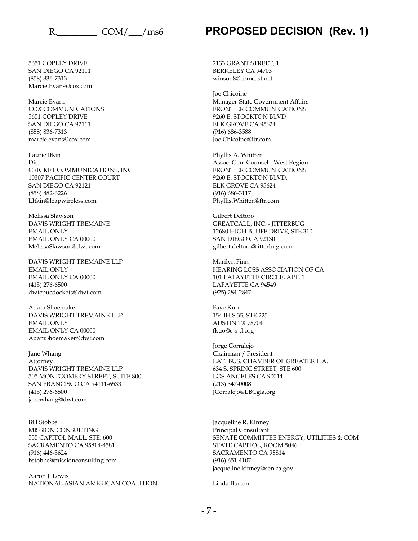5651 COPLEY DRIVE SAN DIEGO CA 92111 (858) 836-7313 Marcie.Evans@cox.com

Marcie Evans COX COMMUNICATIONS 5651 COPLEY DRIVE SAN DIEGO CA 92111 (858) 836-7313 marcie.evans@cox.com

Laurie Itkin Dir. CRICKET COMMUNICATIONS, INC. 10307 PACIFIC CENTER COURT SAN DIEGO CA 92121 (858) 882-6226 LItkin@leapwireless.com

Melissa Slawson DAVIS WRIGHT TREMAINE EMAIL ONLY EMAIL ONLY CA 00000 MelissaSlawson@dwt.com

DAVIS WRIGHT TREMAINE LLP EMAIL ONLY EMAIL ONLY CA 00000 (415) 276-6500 dwtcpucdockets@dwt.com

Adam Shoemaker DAVIS WRIGHT TREMAINE LLP EMAIL ONLY EMAIL ONLY CA 00000 AdamShoemaker@dwt.com

Jane Whang Attorney DAVIS WRIGHT TREMAINE LLP 505 MONTGOMERY STREET, SUITE 800 SAN FRANCISCO CA 94111-6533 (415) 276-6500 janewhang@dwt.com

Bill Stobbe MISSION CONSULTING 555 CAPITOL MALL, STE. 600 SACRAMENTO CA 95814-4581 (916) 446-5624 bstobbe@missionconsulting.com

Aaron J. Lewis NATIONAL ASIAN AMERICAN COALITION 2133 GRANT STREET, 1 BERKELEY CA 94703 winson8@comcast.net

Joe Chicoine Manager-State Government Affairs FRONTIER COMMUNICATIONS 9260 E. STOCKTON BLVD ELK GROVE CA 95624 (916) 686-3588 Joe.Chicoine@ftr.com

Phyllis A. Whitten Assoc. Gen. Counsel - West Region FRONTIER COMMUNICATIONS 9260 E. STOCKTON BLVD. ELK GROVE CA 95624 (916) 686-3117 Phyllis.Whitten@ftr.com

Gilbert Deltoro GREATCALL, INC. - JITTERBUG 12680 HIGH BLUFF DRIVE, STE 310 SAN DIEGO CA 92130 gilbert.deltoro@jitterbug.com

Marilyn Finn HEARING LOSS ASSOCIATION OF CA 101 LAFAYETTE CIRCLE, APT. 1 LAFAYETTE CA 94549 (925) 284-2847

Faye Kuo 154 IH S 35, STE 225 AUSTIN TX 78704 fkuo@c-s-d.org

Jorge Corralejo Chairman / President LAT. BUS. CHAMBER OF GREATER L.A. 634 S. SPRING STREET, STE 600 LOS ANGELES CA 90014 (213) 347-0008 JCorralejo@LBCgla.org

Jacqueline R. Kinney Principal Consultant SENATE COMMITTEE ENERGY, UTILITIES & COM STATE CAPITOL, ROOM 5046 SACRAMENTO CA 95814 (916) 651-4107 jacqueline.kinney@sen.ca.gov

Linda Burton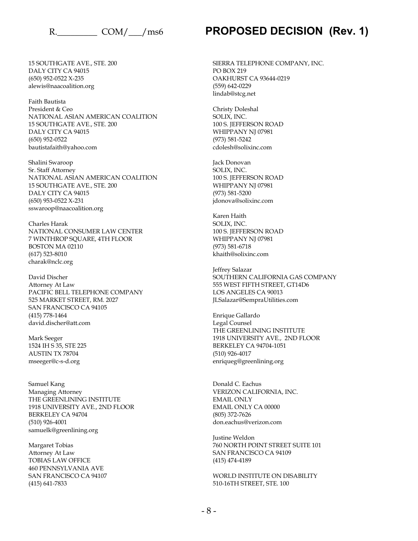15 SOUTHGATE AVE., STE. 200 DALY CITY CA 94015 (650) 952-0522 X-235 alewis@naacoalition.org

Faith Bautista President & Ceo NATIONAL ASIAN AMERICAN COALITION 15 SOUTHGATE AVE., STE. 200 DALY CITY CA 94015 (650) 952-0522 bautistafaith@yahoo.com

Shalini Swaroop Sr. Staff Attorney NATIONAL ASIAN AMERICAN COALITION 15 SOUTHGATE AVE., STE. 200 DALY CITY CA 94015 (650) 953-0522 X-231 sswaroop@naacoalition.org

Charles Harak NATIONAL CONSUMER LAW CENTER 7 WINTHROP SQUARE, 4TH FLOOR BOSTON MA 02110 (617) 523-8010 charak@nclc.org

David Discher Attorney At Law PACIFIC BELL TELEPHONE COMPANY 525 MARKET STREET, RM. 2027 SAN FRANCISCO CA 94105 (415) 778-1464 david.discher@att.com

Mark Seeger 1524 IH S 35, STE 225 AUSTIN TX 78704 mseeger@c-s-d.org

Samuel Kang Managing Attorney THE GREENLINING INSTITUTE 1918 UNIVERSITY AVE., 2ND FLOOR BERKELEY CA 94704 (510) 926-4001 samuelk@greenlining.org

Margaret Tobias Attorney At Law TOBIAS LAW OFFICE 460 PENNSYLVANIA AVE SAN FRANCISCO CA 94107 (415) 641-7833

## R. COM/ / ms6 **PROPOSED DECISION (Rev. 1)**

SIERRA TELEPHONE COMPANY, INC. PO BOX 219 OAKHURST CA 93644-0219 (559) 642-0229 lindab@stcg.net

Christy Doleshal SOLIX, INC. 100 S. JEFFERSON ROAD WHIPPANY NJ 07981 (973) 581-5242 cdolesh@solixinc.com

Jack Donovan SOLIX, INC. 100 S. JEFFERSON ROAD WHIPPANY NJ 07981 (973) 581-5200 jdonova@solixinc.com

Karen Haith SOLIX, INC. 100 S. JEFFERSON ROAD WHIPPANY NJ 07981 (973) 581-6718 khaith@solixinc.com

Jeffrey Salazar SOUTHERN CALIFORNIA GAS COMPANY 555 WEST FIFTH STREET, GT14D6 LOS ANGELES CA 90013 JLSalazar@SempraUtilities.com

Enrique Gallardo Legal Counsel THE GREENLINING INSTITUTE 1918 UNIVERSITY AVE., 2ND FLOOR BERKELEY CA 94704-1051 (510) 926-4017 enriqueg@greenlining.org

Donald C. Eachus VERIZON CALIFORNIA, INC. EMAIL ONLY EMAIL ONLY CA 00000 (805) 372-7626 don.eachus@verizon.com

Justine Weldon 760 NORTH POINT STREET SUITE 101 SAN FRANCISCO CA 94109 (415) 474-4189

WORLD INSTITUTE ON DISABILITY 510-16TH STREET, STE. 100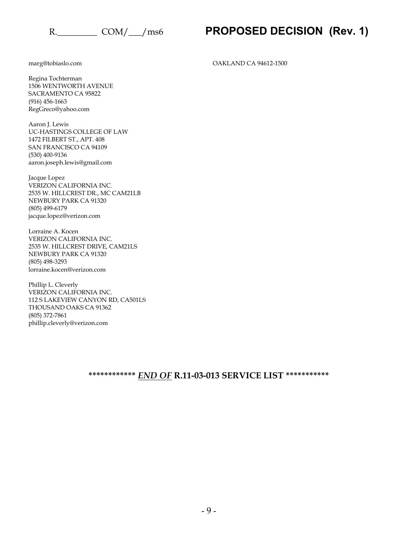marg@tobiaslo.com

Regina Tochterman 1506 WENTWORTH AVENUE SACRAMENTO CA 95822 (916) 456-1663 RegGreco@yahoo.com

Aaron J. Lewis UC-HASTINGS COLLEGE OF LAW 1472 FILBERT ST., APT. 408 SAN FRANCISCO CA 94109 (530) 400-9136 aaron.joseph.lewis@gmail.com

Jacque Lopez VERIZON CALIFORNIA INC. 2535 W. HILLCREST DR., MC CAM21LB NEWBURY PARK CA 91320 (805) 499-6179 jacque.lopez@verizon.com

Lorraine A. Kocen VERIZON CALIFORNIA INC. 2535 W. HILLCREST DRIVE, CAM21LS NEWBURY PARK CA 91320 (805) 498-3293 lorraine.kocen@verizon.com

Phillip L. Cleverly VERIZON CALIFORNIA INC. 112 S LAKEVIEW CANYON RD, CA501LS THOUSAND OAKS CA 91362 (805) 372-7861 phillip.cleverly@verizon.com

OAKLAND CA 94612-1500

**\*\*\*\*\*\*\*\*\*\*\*\*** *END OF* **R.11-03-013 SERVICE LIST \*\*\*\*\*\*\*\*\*\*\***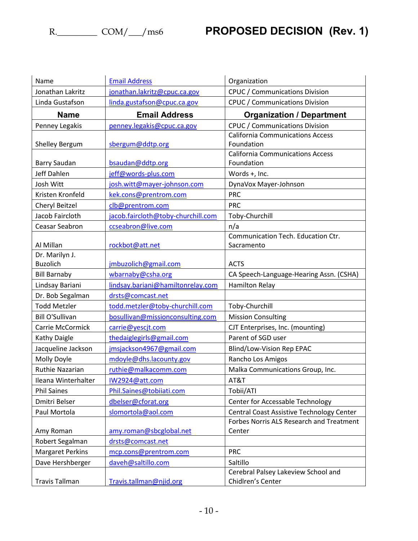| Name                               | <b>Email Address</b>                    | Organization                              |  |
|------------------------------------|-----------------------------------------|-------------------------------------------|--|
| Jonathan Lakritz                   | jonathan.lakritz@cpuc.ca.gov            | <b>CPUC / Communications Division</b>     |  |
| Linda Gustafson                    | linda.gustafson@cpuc.ca.gov             | <b>CPUC / Communications Division</b>     |  |
| <b>Name</b>                        | <b>Email Address</b>                    | <b>Organization / Department</b>          |  |
| Penney Legakis                     | penney.legakis@cpuc.ca.gov              | <b>CPUC / Communications Division</b>     |  |
|                                    |                                         | <b>California Communications Access</b>   |  |
| <b>Shelley Bergum</b>              | sbergum@ddtp.org                        | Foundation                                |  |
|                                    |                                         | <b>California Communications Access</b>   |  |
| Barry Saudan<br><b>Jeff Dahlen</b> | bsaudan@ddtp.org<br>jeff@words-plus.com | Foundation                                |  |
| Josh Witt                          |                                         | Words +, Inc.                             |  |
|                                    | josh.witt@mayer-johnson.com             | DynaVox Mayer-Johnson                     |  |
| Kristen Kronfeld                   | kek.cons@prentrom.com                   | <b>PRC</b>                                |  |
| Cheryl Beitzel                     | clb@prentrom.com                        | <b>PRC</b>                                |  |
| Jacob Faircloth                    | jacob.faircloth@toby-churchill.com      | Toby-Churchill                            |  |
| Ceasar Seabron                     | ccseabron@live.com                      | n/a<br>Communication Tech. Education Ctr. |  |
| Al Millan                          | rockbot@att.net                         | Sacramento                                |  |
| Dr. Marilyn J.                     |                                         |                                           |  |
| <b>Buzolich</b>                    | jmbuzolich@gmail.com                    | <b>ACTS</b>                               |  |
| <b>Bill Barnaby</b>                | wbarnaby@csha.org                       | CA Speech-Language-Hearing Assn. (CSHA)   |  |
| Lindsay Bariani                    | lindsay.bariani@hamiltonrelay.com       | <b>Hamilton Relay</b>                     |  |
| Dr. Bob Segalman                   | drsts@comcast.net                       |                                           |  |
| <b>Todd Metzler</b>                | todd.metzler@toby-churchill.com         | Toby-Churchill                            |  |
| <b>Bill O'Sullivan</b>             | bosullivan@missionconsulting.com        | <b>Mission Consulting</b>                 |  |
| Carrie McCormick                   | carrie@yescit.com                       | CJT Enterprises, Inc. (mounting)          |  |
| <b>Kathy Daigle</b>                | thedaiglegirls@gmail.com                | Parent of SGD user                        |  |
| Jacqueline Jackson                 | jmsjackson4967@gmail.com                | Blind/Low-Vision Rep EPAC                 |  |
| Molly Doyle                        | mdoyle@dhs.lacounty.gov                 | Rancho Los Amigos                         |  |
| Ruthie Nazarian                    | ruthie@malkacomm.com                    | Malka Communications Group, Inc.          |  |
| Ileana Winterhalter                | IW2924@att.com                          | AT&T                                      |  |
| <b>Phil Saines</b>                 | Phil.Saines@tobiiati.com                | Tobii/ATI                                 |  |
| Dmitri Belser                      | dbelser@cforat.org                      | Center for Accessable Technology          |  |
| Paul Mortola                       | slomortola@aol.com                      | Central Coast Assistive Technology Center |  |
|                                    |                                         | Forbes Norris ALS Research and Treatment  |  |
| Amy Roman                          | amy.roman@sbcglobal.net                 | Center                                    |  |
| Robert Segalman                    | drsts@comcast.net                       |                                           |  |
| <b>Margaret Perkins</b>            | mcp.cons@prentrom.com                   | <b>PRC</b>                                |  |
| Dave Hershberger                   | daveh@saltillo.com                      | Saltillo                                  |  |
|                                    |                                         | Cerebral Palsey Lakeview School and       |  |
| <b>Travis Tallman</b>              | Travis.tallman@njid.org                 | Chidlren's Center                         |  |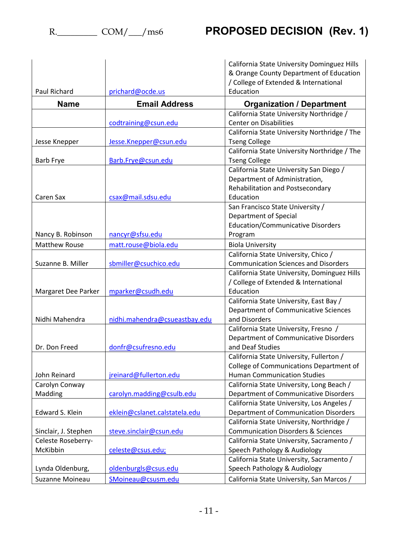|                      |                               | California State University Dominguez Hills   |
|----------------------|-------------------------------|-----------------------------------------------|
|                      |                               | & Orange County Department of Education       |
|                      |                               | / College of Extended & International         |
| Paul Richard         | prichard@ocde.us              | Education                                     |
| <b>Name</b>          | <b>Email Address</b>          | <b>Organization / Department</b>              |
|                      |                               | California State University Northridge /      |
|                      | codtraining@csun.edu          | <b>Center on Disabilities</b>                 |
|                      |                               | California State University Northridge / The  |
| Jesse Knepper        | Jesse.Knepper@csun.edu        | <b>Tseng College</b>                          |
|                      |                               | California State University Northridge / The  |
| <b>Barb Frye</b>     | Barb.Frye@csun.edu            | <b>Tseng College</b>                          |
|                      |                               | California State University San Diego /       |
|                      |                               | Department of Administration,                 |
|                      |                               | Rehabilitation and Postsecondary              |
| Caren Sax            | csax@mail.sdsu.edu            | Education                                     |
|                      |                               | San Francisco State University /              |
|                      |                               | <b>Department of Special</b>                  |
|                      |                               | <b>Education/Communicative Disorders</b>      |
| Nancy B. Robinson    | nancyr@sfsu.edu               | Program                                       |
| <b>Matthew Rouse</b> | matt.rouse@biola.edu          | <b>Biola University</b>                       |
|                      |                               | California State University, Chico /          |
| Suzanne B. Miller    | sbmiller@csuchico.edu         | <b>Communication Sciences and Disorders</b>   |
|                      |                               | California State University, Dominguez Hills  |
|                      |                               | / College of Extended & International         |
| Margaret Dee Parker  | mparker@csudh.edu             | Education                                     |
|                      |                               | California State University, East Bay /       |
|                      |                               | Department of Communicative Sciences          |
| Nidhi Mahendra       | nidhi.mahendra@csueastbay.edu | and Disorders                                 |
|                      |                               | California State University, Fresno /         |
|                      |                               | Department of Communicative Disorders         |
| Dr. Don Freed        | donfr@csufresno.edu           | and Deaf Studies                              |
|                      |                               | California State University, Fullerton /      |
|                      |                               | College of Communications Department of       |
| John Reinard         | jreinard@fullerton.edu        | <b>Human Communication Studies</b>            |
| Carolyn Conway       |                               | California State University, Long Beach /     |
| Madding              | carolyn.madding@csulb.edu     | Department of Communicative Disorders         |
|                      |                               | California State University, Los Angeles /    |
| Edward S. Klein      | eklein@cslanet.calstatela.edu | Department of Communication Disorders         |
|                      |                               | California State University, Northridge /     |
| Sinclair, J. Stephen | steve.sinclair@csun.edu       | <b>Communication Disorders &amp; Sciences</b> |
| Celeste Roseberry-   |                               | California State University, Sacramento /     |
| McKibbin             | celeste@csus.edu;             | Speech Pathology & Audiology                  |
|                      |                               | California State University, Sacramento /     |
| Lynda Oldenburg,     | oldenburgls@csus.edu          | Speech Pathology & Audiology                  |
| Suzanne Moineau      | SMoineau@csusm.edu            | California State University, San Marcos /     |